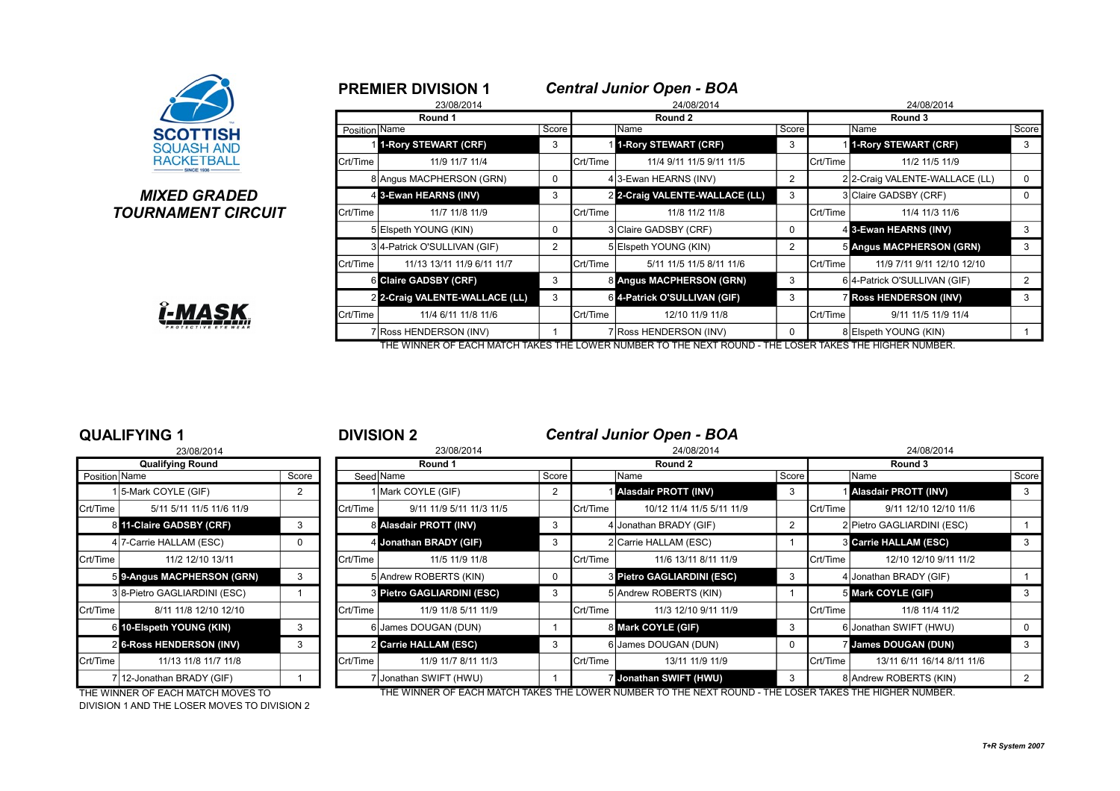

# **MIXED GRADED TOURNAMENT CIRCUIT**



|               | <b>PREMIER DIVISION 1</b>      |                |                 | <b>Central Junior Open - BOA</b> |                |                   |                               |       |  |  |
|---------------|--------------------------------|----------------|-----------------|----------------------------------|----------------|-------------------|-------------------------------|-------|--|--|
|               | 23/08/2014                     |                |                 | 24/08/2014                       |                | 24/08/2014        |                               |       |  |  |
|               | Round 1                        | Round 2        |                 |                                  |                |                   | Round 3                       |       |  |  |
| Position Name |                                | Score          |                 | Name                             | Score          |                   | Name                          | Score |  |  |
|               | 1-Rory STEWART (CRF)           | 3              |                 | 1-Rory STEWART (CRF)             | 3              |                   | 11-Rory STEWART (CRF)         | 3     |  |  |
| Crt/Time      | 11/9 11/7 11/4                 |                | <b>Crt/Time</b> | 11/4 9/11 11/5 9/11 11/5         |                | Crt/Time          | 11/2 11/5 11/9                |       |  |  |
|               | 8 Angus MACPHERSON (GRN)       | 0              |                 | 4 3-Ewan HEARNS (INV)            | $\overline{2}$ |                   | 22-Craig VALENTE-WALLACE (LL) | 0     |  |  |
|               | 4 3-Ewan HEARNS (INV)          | 3              |                 | 2 2-Craig VALENTE-WALLACE (LL)   | 3              |                   | 3 Claire GADSBY (CRF)         | 0     |  |  |
| Crt/Time      | 11/7 11/8 11/9                 |                | Crt/Time        | 11/8 11/2 11/8                   |                | <b>I</b> Crt/Time | 11/4 11/3 11/6                |       |  |  |
|               | 5 Elspeth YOUNG (KIN)          | 0              |                 | 3 Claire GADSBY (CRF)            | 0              |                   | 4 3-Ewan HEARNS (INV)         | 3     |  |  |
|               | 3 4- Patrick O'SULLIVAN (GIF)  | $\overline{2}$ |                 | 5 Elspeth YOUNG (KIN)            | $\overline{2}$ |                   | 5 Angus MACPHERSON (GRN)      | 3     |  |  |
| Crt/Time      | 11/13 13/11 11/9 6/11 11/7     |                | Crt/Time        | 5/11 11/5 11/5 8/11 11/6         |                | Crt/Time          | 11/9 7/11 9/11 12/10 12/10    |       |  |  |
|               | <b>6 Claire GADSBY (CRF)</b>   | 3              |                 | 8 Angus MACPHERSON (GRN)         | 3              |                   | 6 4-Patrick O'SULLIVAN (GIF)  | 2     |  |  |
|               | 2 2-Craig VALENTE-WALLACE (LL) | 3              |                 | 6 4-Patrick O'SULLIVAN (GIF)     | 3              |                   | <b>7 Ross HENDERSON (INV)</b> | 3     |  |  |
| Crt/Time      | 11/4 6/11 11/8 11/6            |                | Crt/Time        | 12/10 11/9 11/8                  |                | Crt/Time          | 9/11 11/5 11/9 11/4           |       |  |  |
|               | 7 Ross HENDERSON (INV)         |                |                 | 7 Ross HENDERSON (INV)           | 0              |                   | 8 Elspeth YOUNG (KIN)         |       |  |  |

THE WINNER OF EACH MATCH TAKES THE LOWER NUMBER TO THE NEXT ROUND - THE LOSER TAKES THE HIGHER NUMBER.

### **QUALIFYING 1** <sup>1</sup> **DIVISION 2** *Central Junior Open - BOA*

|                | 23/08/2014                    |       |
|----------------|-------------------------------|-------|
|                | <b>Qualifying Round</b>       |       |
| Position Name  |                               | Score |
|                | 15-Mark COYLE (GIF)           | 2     |
| Crt/Time       | 5/11 5/11 11/5 11/6 11/9      |       |
| 81             | 11-Claire GADSBY (CRF)        | 3     |
|                | 4 7-Carrie HALLAM (ESC)       | 0     |
| Crt/Time       | 11/2 12/10 13/11              |       |
| 5              | 9-Angus MACPHERSON (GRN)      | 3     |
|                | 3 8-Pietro GAGLIARDINI (ESC)  |       |
| Crt/Time       | 8/11 11/8 12/10 12/10         |       |
| 61             | 10-Elspeth YOUNG (KIN)        | 3     |
| $\overline{2}$ | <b>6-Ross HENDERSON (INV)</b> | 3     |
| Crt/Time       | 11/13 11/8 11/7 11/8          |       |
| 71             | 12-Jonathan BRADY (GIF)       |       |

|               | 23/08/2014                      |       | 23/08/2014 |                            |       | 24/08/2014 |                                                                                                         |             |                   | 24/08/2014                   |                |  |
|---------------|---------------------------------|-------|------------|----------------------------|-------|------------|---------------------------------------------------------------------------------------------------------|-------------|-------------------|------------------------------|----------------|--|
|               | <b>Qualifying Round</b>         |       |            | Round 1                    |       |            | Round 2                                                                                                 |             |                   | Round 3                      |                |  |
| Position Name |                                 | Score | Seed Name  |                            | Score |            | Name                                                                                                    | Score       |                   | Name                         | Score          |  |
|               | 1 5-Mark COYLE (GIF)            | 2     |            | Mark COYLE (GIF)           | 2     |            | Alasdair PROTT (INV)                                                                                    | 3           |                   | <b>Alasdair PROTT (INV)</b>  | 3              |  |
| Crt/Time      | 5/11 5/11 11/5 11/6 11/9        |       | Crt/Time   | 9/11 11/9 5/11 11/3 11/5   |       | lCrt/Time  | 10/12 11/4 11/5 5/11 11/9                                                                               |             | <b>I</b> Crt/Time | 9/11 12/10 12/10 11/6        |                |  |
|               | 8 11-Claire GADSBY (CRF)        | 3     |            | 8 Alasdair PROTT (INV)     | 3     |            | 4 Jonathan BRADY (GIF)                                                                                  |             |                   | 2 Pietro GAGLIARDINI (ESC)   |                |  |
|               | 4 7-Carrie HALLAM (ESC)         | 0     |            | 4 Jonathan BRADY (GIF)     |       |            | 2 Carrie HALLAM (ESC)                                                                                   |             |                   | <b>3 Carrie HALLAM (ESC)</b> | 3              |  |
| Crt/Time      | 11/2 12/10 13/11                |       | Crt/Time   | 11/5 11/9 11/8             |       | lCrt/Time  | 11/6 13/11 8/11 11/9                                                                                    |             | <b>I</b> Crt/Time | 12/10 12/10 9/11 11/2        |                |  |
|               | 5 9-Angus MACPHERSON (GRN)      | 3     |            | 5 Andrew ROBERTS (KIN)     | 0     |            | <b>B</b> Pietro GAGLIARDINI (ESC)                                                                       | 3           |                   | 4 Jonathan BRADY (GIF)       |                |  |
|               | 3 8-Pietro GAGLIARDINI (ESC)    |       |            | 3 Pietro GAGLIARDINI (ESC) | 3     |            | 5 Andrew ROBERTS (KIN)                                                                                  |             |                   | 5 Mark COYLE (GIF)           | 3              |  |
| Crt/Time      | 8/11 11/8 12/10 12/10           |       | Crt/Time   | 11/9 11/8 5/11 11/9        |       | Crt/Time   | 11/3 12/10 9/11 11/9                                                                                    |             | <b>Crt/Time</b>   | 11/8 11/4 11/2               |                |  |
|               | 6 10-Elspeth YOUNG (KIN)        | 3     |            | 6 James DOUGAN (DUN)       |       |            | 8 Mark COYLE (GIF)                                                                                      | 3           |                   | 6 Jonathan SWIFT (HWU)       | 0              |  |
|               | <b>2 6-Ross HENDERSON (INV)</b> |       |            | 2 Carrie HALLAM (ESC)      |       |            | 6 James DOUGAN (DUN)                                                                                    | $\mathbf 0$ |                   | <b>James DOUGAN (DUN)</b>    | 3              |  |
| Crt/Time      | 11/13 11/8 11/7 11/8            |       | Crt/Time   | 11/9 11/7 8/11 11/3        |       | lCrt/Time  | 13/11 11/9 11/9                                                                                         |             | <b>I</b> Crt/Time | 13/11 6/11 16/14 8/11 11/6   |                |  |
|               | 7 12-Jonathan BRADY (GIF)       |       |            | Jonathan SWIFT (HWU)       |       |            | Jonathan SWIFT (HWU)                                                                                    | 3           |                   | 8 Andrew ROBERTS (KIN)       | $\overline{2}$ |  |
|               |                                 |       |            |                            |       |            | THE WILLED OF ELOU MATOU THIC THE LOWED HILLIDED TO THE HEVE DOUGLET HE LOOFD THICK THE HIOLED HILLIDED |             |                   |                              |                |  |

DIVISION 1 AND THE LOSER MOVES TO DIVISION 2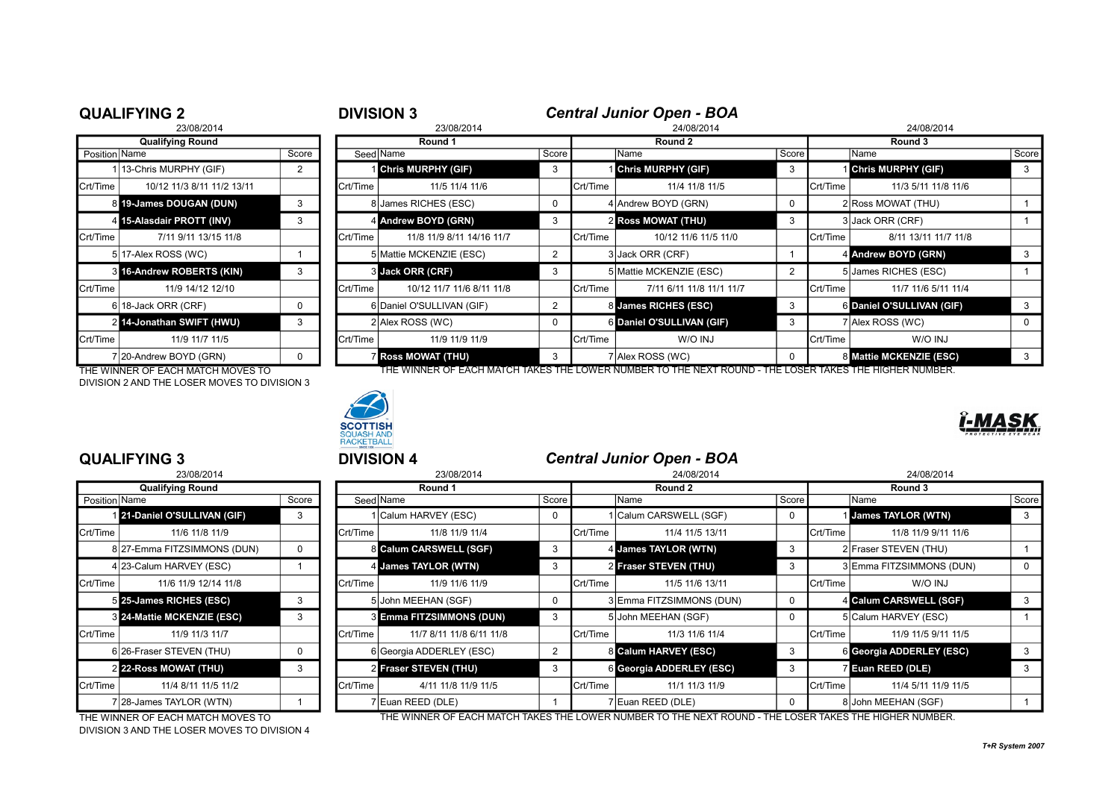|               | <b>QUALIFYING 2</b>        |                |          | <b>Central Junior Open - BOA</b><br><b>DIVISION 3</b> |                |                 |                           |          |                   |                           |       |  |  |
|---------------|----------------------------|----------------|----------|-------------------------------------------------------|----------------|-----------------|---------------------------|----------|-------------------|---------------------------|-------|--|--|
|               | 23/08/2014                 |                |          | 23/08/2014                                            |                |                 | 24/08/2014                |          |                   | 24/08/2014                |       |  |  |
|               | <b>Qualifying Round</b>    |                |          | Round 1                                               |                |                 | Round 2                   |          |                   | Round 3                   |       |  |  |
| Position Name |                            | Score          |          | Seed Name                                             | Score          |                 | Name                      | Score    |                   | Name                      | Score |  |  |
|               | 13-Chris MURPHY (GIF)      | $\overline{2}$ |          | <b>Chris MURPHY (GIF)</b>                             |                |                 | <b>Chris MURPHY (GIF)</b> | 3        |                   | <b>Chris MURPHY (GIF)</b> |       |  |  |
| Crt/Time      | 10/12 11/3 8/11 11/2 13/11 |                | Crt/Time | 11/5 11/4 11/6                                        |                | Crt/Time        | 11/4 11/8 11/5            |          | Crt/Time          | 11/3 5/11 11/8 11/6       |       |  |  |
|               | 8 19-James DOUGAN (DUN)    | 3              |          | 8 James RICHES (ESC)                                  |                |                 | 4 Andrew BOYD (GRN)       | $\Omega$ |                   | 2 Ross MOWAT (THU)        |       |  |  |
|               | 4 15-Alasdair PROTT (INV)  | 3              |          | 4 Andrew BOYD (GRN)                                   | 3              |                 | <b>2 Ross MOWAT (THU)</b> | 3        |                   | 3 Jack ORR (CRF)          |       |  |  |
| Crt/Time      | 7/11 9/11 13/15 11/8       |                | Crt/Time | 11/8 11/9 8/11 14/16 11/7                             |                | <b>Crt/Time</b> | 10/12 11/6 11/5 11/0      |          | Crt/Time          | 8/11 13/11 11/7 11/8      |       |  |  |
|               | 5 17-Alex ROSS (WC)        |                |          | 5 Mattie MCKENZIE (ESC)                               | $\overline{2}$ |                 | 3 Jack ORR (CRF)          |          |                   | 4 Andrew BOYD (GRN)       |       |  |  |
|               | 3 16-Andrew ROBERTS (KIN)  | 3              |          | 3 Jack ORR (CRF)                                      | 3              |                 | 5 Mattie MCKENZIE (ESC)   | 2        |                   | 5 James RICHES (ESC)      |       |  |  |
| Crt/Time      | 11/9 14/12 12/10           |                | Crt/Time | 10/12 11/7 11/6 8/11 11/8                             |                | Crt/Time        | 7/11 6/11 11/8 11/1 11/7  |          | <b>I</b> Crt/Time | 11/7 11/6 5/11 11/4       |       |  |  |
|               | 6 18-Jack ORR (CRF)        | 0              |          | 6 Daniel O'SULLIVAN (GIF)                             | $\overline{2}$ |                 | 8 James RICHES (ESC)      | 3        |                   | 6 Daniel O'SULLIVAN (GIF) | 3     |  |  |
|               | 2 14-Jonathan SWIFT (HWU)  | 3              |          | 2 Alex ROSS (WC)                                      |                |                 | 6 Daniel O'SULLIVAN (GIF) | 3        |                   | 7 Alex ROSS (WC)          |       |  |  |
| Crt/Time      | 11/9 11/7 11/5             |                | Crt/Time | 11/9 11/9 11/9                                        |                | Crt/Time        | W/O INJ                   |          | Crt/Time          | W/O INJ                   |       |  |  |
|               | 7 20-Andrew BOYD (GRN)     | 0              |          | <b>Z Ross MOWAT (THU)</b>                             | 3              |                 | 7 Alex ROSS (WC)          | $\Omega$ |                   | 8 Mattie MCKENZIE (ESC)   | 3     |  |  |

THE WINNER OF EACH MATCH MOVES TO THE WINNER OF EACH MATCH TAKES THE LOWER NUMBER TO THE NEXT ROUND - THE LOSER TAKES THE HIGHER NUMBER. DIVISION 2 AND THE LOSER MOVES TO DIVISION 3



|                 | 23/08/2014                       |       |
|-----------------|----------------------------------|-------|
|                 | <b>Qualifying Round</b>          |       |
| Position   Name |                                  | Score |
|                 | 121-Daniel O'SULLIVAN (GIF)      | 3     |
| Crt/Time        | 11/6 11/8 11/9                   |       |
|                 | 8 27-Emma FITZSIMMONS (DUN)      | 0     |
|                 | 4 23-Calum HARVEY (ESC)          | 1     |
| Crt/Time        | 11/6 11/9 12/14 11/8             |       |
|                 | 5 25-James RICHES (ESC)          | 3     |
|                 | <b>824-Mattie MCKENZIE (ESC)</b> | 3     |
| Crt/Time        | 11/9 11/3 11/7                   |       |
|                 | 6 26-Fraser STEVEN (THU)         | 0     |
|                 | <b>2 22-Ross MOWAT (THU)</b>     | 3     |
| Crt/Time        | 11/4 8/11 11/5 11/2              |       |
|                 | 7 28-James TAYLOR (WTN)          |       |

DIVISION 3 AND THE LOSER MOVES TO DIVISION 4

### **QUALIFYING 3** <sup>3</sup> **DIVISION 4** *Central Junior Open - BOA*

|               | QUALIF I ING J                             |       | <b>PIVIOIUIT</b> |                                 |       |          | <b>CHILLAI JUILIUI UPCII - DUM</b>                                                                    |              |                   |                           |       |
|---------------|--------------------------------------------|-------|------------------|---------------------------------|-------|----------|-------------------------------------------------------------------------------------------------------|--------------|-------------------|---------------------------|-------|
|               | 23/08/2014                                 |       |                  | 23/08/2014                      |       |          | 24/08/2014                                                                                            |              | 24/08/2014        |                           |       |
|               | <b>Qualifying Round</b>                    |       |                  | Round 1                         |       |          | Round 2                                                                                               |              |                   | Round 3                   |       |
| Position Name |                                            | Score |                  | Seed Name                       | Score |          | Name                                                                                                  | Score        |                   | Name                      | Score |
|               | 21-Daniel O'SULLIVAN (GIF)                 | 3     |                  | 1 Calum HARVEY (ESC)            | 0     |          | Calum CARSWELL (SGF)                                                                                  | $\Omega$     |                   | <b>James TAYLOR (WTN)</b> | 3     |
| Crt/Time      | 11/6 11/8 11/9                             |       | Crt/Time         | 11/8 11/9 11/4                  |       | Crt/Time | 11/4 11/5 13/11                                                                                       |              | <b>I</b> Crt/Time | 11/8 11/9 9/11 11/6       |       |
|               | 8 27-Emma FITZSIMMONS (DUN)                | 0     |                  | 8 Calum CARSWELL (SGF)          | -3    |          | 4 James TAYLOR (WTN)                                                                                  | 3            |                   | 2 Fraser STEVEN (THU)     |       |
|               | 4 23-Calum HARVEY (ESC)                    |       |                  | 4 James TAYLOR (WTN)            |       |          | 2 Fraser STEVEN (THU)                                                                                 |              |                   | 3 Emma FITZSIMMONS (DUN)  |       |
| Crt/Time      | 11/6 11/9 12/14 11/8                       |       | Crt/Time         | 11/9 11/6 11/9                  |       | Crt/Time | 11/5 11/6 13/11                                                                                       |              | <b>I</b> Crt/Time | W/O INJ                   |       |
|               | 5 25-James RICHES (ESC)                    | 3     |                  | 5 John MEEHAN (SGF)             |       |          | 3 Emma FITZSIMMONS (DUN)                                                                              | 0            |                   | 4 Calum CARSWELL (SGF)    |       |
|               | 3 24-Mattie MCKENZIE (ESC)                 | 3     |                  | <b>8 Emma FITZSIMMONS (DUN)</b> | 3     |          | 5 John MEEHAN (SGF)                                                                                   |              |                   | 5 Calum HARVEY (ESC)      |       |
| Crt/Time      | 11/9 11/3 11/7                             |       | Crt/Time         | 11/7 8/11 11/8 6/11 11/8        |       | Crt/Time | 11/3 11/6 11/4                                                                                        |              | Crt/Time          | 11/9 11/5 9/11 11/5       |       |
|               | 6 26-Fraser STEVEN (THU)                   | 0     |                  | 6 Georgia ADDERLEY (ESC)        | 2     |          | 8 Calum HARVEY (ESC)                                                                                  | 3            |                   | 6 Georgia ADDERLEY (ESC)  | 3     |
|               | 2 22-Ross MOWAT (THU)                      | 3     |                  | <b>2 Fraser STEVEN (THU)</b>    | 3     |          | 6 Georgia ADDERLEY (ESC)                                                                              | 3            |                   | <b>Z</b> Euan REED (DLE)  |       |
| Crt/Time      | 11/4 8/11 11/5 11/2                        |       | Crt/Time         | 4/11 11/8 11/9 11/5             |       | Crt/Time | 11/1 11/3 11/9                                                                                        |              | Crt/Time          | 11/4 5/11 11/9 11/5       |       |
|               | 7 28-James TAYLOR (WTN)                    |       |                  | 7 Euan REED (DLE)               |       |          | 7 Euan REED (DLE)                                                                                     | <sup>n</sup> |                   | 8 John MEEHAN (SGF)       |       |
|               | $\tau$ ur wuyu irro or raou warou wovro to |       |                  |                                 |       |          | THE WINNER OF EACH MATCH TAKES THE LOWER MINDER TO THE NEVER BOUND. THE LOOFR TAKES THE HIGHER MINDER |              |                   |                           |       |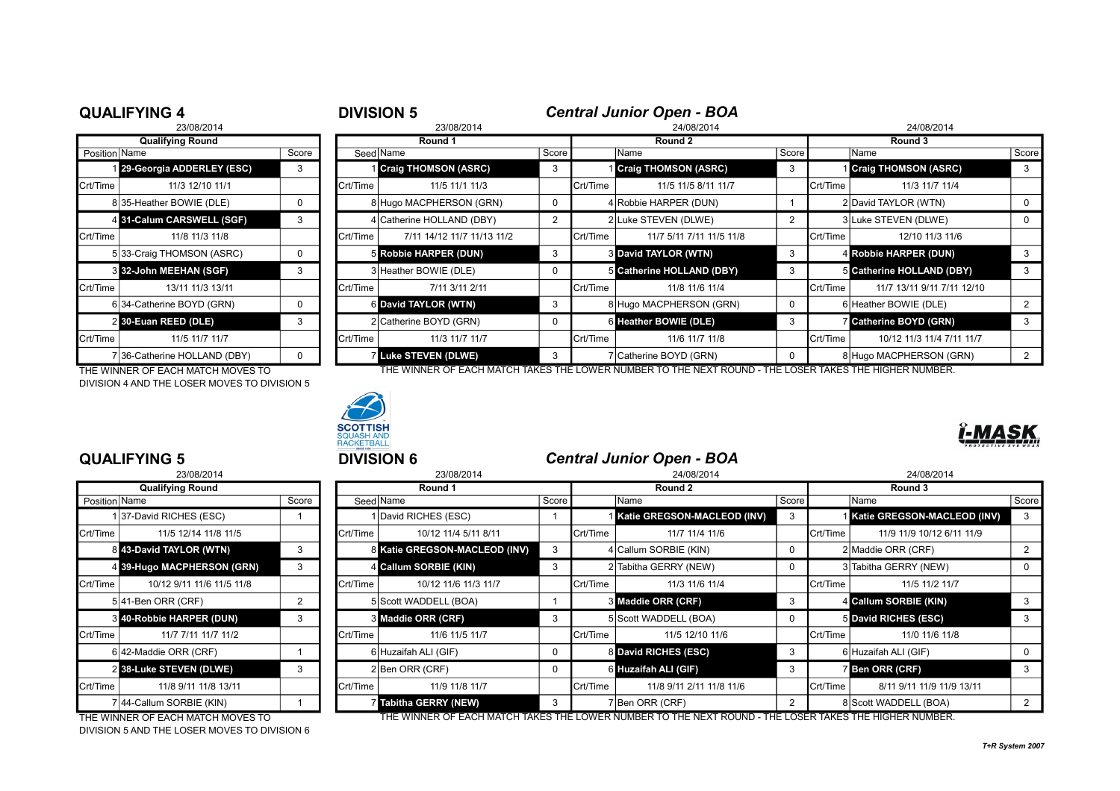|               | <b>QUALIFYING 4</b>          |          | <b>DIVISION 5</b> |                             |            |          | <b>Central Junior Open - BOA</b> |       |                 |                               |                |  |
|---------------|------------------------------|----------|-------------------|-----------------------------|------------|----------|----------------------------------|-------|-----------------|-------------------------------|----------------|--|
|               | 23/08/2014                   |          |                   | 23/08/2014                  | 24/08/2014 |          |                                  |       |                 | 24/08/2014                    |                |  |
|               | <b>Qualifying Round</b>      |          | Round 1           |                             |            | Round 2  |                                  |       | Round 3         |                               |                |  |
| Position Name |                              | Score    |                   | Seed Name                   | Score      |          | Name                             | Score |                 | Name                          | Score          |  |
|               | 29-Georgia ADDERLEY (ESC)    | 3        |                   | <b>Craig THOMSON (ASRC)</b> | 3          |          | <b>Craig THOMSON (ASRC)</b>      | 3     |                 | 1 Craig THOMSON (ASRC)        |                |  |
| Crt/Time      | 11/3 12/10 11/1              |          | Crt/Time          | 11/5 11/1 11/3              |            | Crt/Time | 11/5 11/5 8/11 11/7              |       | Crt/Time        | 11/3 11/7 11/4                |                |  |
|               | 835-Heather BOWIE (DLE)      | 0        |                   | 8 Hugo MACPHERSON (GRN)     | 0          |          | 4 Robbie HARPER (DUN)            |       |                 | 2 David TAYLOR (WTN)          |                |  |
|               | 4 31-Calum CARSWELL (SGF)    | 3        |                   | 4 Catherine HOLLAND (DBY)   |            |          | 2 Luke STEVEN (DLWE)             |       |                 | 3 Luke STEVEN (DLWE)          |                |  |
| Crt/Time      | 11/8 11/3 11/8               |          | Crt/Time          | 7/11 14/12 11/7 11/13 11/2  |            | Crt/Time | 11/7 5/11 7/11 11/5 11/8         |       | Crt/Time        | 12/10 11/3 11/6               |                |  |
|               | 5 33-Craig THOMSON (ASRC)    | 0        |                   | 5 Robbie HARPER (DUN)       | 3          |          | <b>3 David TAYLOR (WTN)</b>      | 3     |                 | 4 Robbie HARPER (DUN)         |                |  |
|               | 3 32-John MEEHAN (SGF)       | 3        |                   | 3 Heather BOWIE (DLE)       | $\Omega$   |          | 5 Catherine HOLLAND (DBY)        | 3     |                 | 5 Catherine HOLLAND (DBY)     |                |  |
| Crt/Time      | 13/11 11/3 13/11             |          | Crt/Time          | 7/11 3/11 2/11              |            | Crt/Time | 11/8 11/6 11/4                   |       | Crt/Time        | 11/7 13/11 9/11 7/11 12/10    |                |  |
|               | 6 34-Catherine BOYD (GRN)    | $\Omega$ |                   | 6 David TAYLOR (WTN)        | 3          |          | 8 Hugo MACPHERSON (GRN)          | 0     |                 | 6 Heather BOWIE (DLE)         |                |  |
|               | 2 30-Euan REED (DLE)         | 3        |                   | 2 Catherine BOYD (GRN)      | $\Omega$   |          | 6 Heather BOWIE (DLE)            | 3     |                 | <b>Z</b> Catherine BOYD (GRN) |                |  |
| Crt/Time      | 11/5 11/7 11/7               |          | Crt/Time          | 11/3 11/7 11/7              |            | Crt/Time | 11/6 11/7 11/8                   |       | <b>Crt/Time</b> | 10/12 11/3 11/4 7/11 11/7     |                |  |
|               | 7 36-Catherine HOLLAND (DBY) | $\Omega$ |                   | Luke STEVEN (DLWE)          | 3          |          | 7 Catherine BOYD (GRN)           | 0     |                 | 8 Hugo MACPHERSON (GRN)       | $\overline{2}$ |  |

DIVISION 4 AND THE LOSER MOVES TO DIVISION 5



THE WINNER OF EACH MATCH MOVES TO THE WINNER OF EACH MATCH TAKES THE LOWER NUMBER TO THE NEXT ROUND - THE LOSER TAKES THE HIGHER NUMBER.

|                          | 23/08/2014                     |   |  |  |  |  |  |  |
|--------------------------|--------------------------------|---|--|--|--|--|--|--|
|                          | <b>Qualifying Round</b>        |   |  |  |  |  |  |  |
| Position   Name<br>Score |                                |   |  |  |  |  |  |  |
|                          | 137-David RICHES (ESC)         |   |  |  |  |  |  |  |
| Crt/Time                 | 11/5 12/14 11/8 11/5           |   |  |  |  |  |  |  |
|                          | 843-David TAYLOR (WTN)         | 3 |  |  |  |  |  |  |
| 41                       | 39-Hugo MACPHERSON (GRN)       | 3 |  |  |  |  |  |  |
| Crt/Time                 | 10/12 9/11 11/6 11/5 11/8      |   |  |  |  |  |  |  |
|                          | 5 41-Ben ORR (CRF)             | 2 |  |  |  |  |  |  |
|                          | <b>840-Robbie HARPER (DUN)</b> | 3 |  |  |  |  |  |  |
| Crt/Time                 | 11/7 7/11 11/7 11/2            |   |  |  |  |  |  |  |
|                          | 6 42-Maddie ORR (CRF)          | 1 |  |  |  |  |  |  |
|                          | 2 38-Luke STEVEN (DLWE)        | 3 |  |  |  |  |  |  |
| Crt/Time                 | 11/8 9/11 11/8 13/11           |   |  |  |  |  |  |  |
|                          | 7 44-Callum SORBIE (KIN)       |   |  |  |  |  |  |  |

DIVISION 5 AND THE LOSER MOVES TO DIVISION 6

# **QUALIFYING 5** <sup>5</sup> **DIVISION 6** *Central Junior Open - BOA*

|                       | 23/08/2014                 |       |          | 23/08/2014                    |       |          | 24/08/2014                  |            |          | 24/08/2014                  |       |  |
|-----------------------|----------------------------|-------|----------|-------------------------------|-------|----------|-----------------------------|------------|----------|-----------------------------|-------|--|
|                       | <b>Qualifying Round</b>    |       |          | Round 1                       |       |          | Round 2                     |            | Round 3  |                             |       |  |
| Position Name         |                            | Score |          | Seed Name                     | Score |          | Name                        | Score      |          | Name                        | Score |  |
|                       | 137-David RICHES (ESC)     |       |          | 1 David RICHES (ESC)          |       |          | Katie GREGSON-MACLEOD (INV) | 3          |          | Katie GREGSON-MACLEOD (INV) | 3     |  |
| Crt/Time <sup>l</sup> | 11/5 12/14 11/8 11/5       |       | Crt/Time | 10/12 11/4 5/11 8/11          |       | Crt/Time | 11/7 11/4 11/6              |            | Crt/Time | 11/9 11/9 10/12 6/11 11/9   |       |  |
|                       | 8 43-David TAYLOR (WTN)    | 3     |          | 8 Katie GREGSON-MACLEOD (INV) | 3     |          | 4 Callum SORBIE (KIN)       | 0          |          | 2 Maddie ORR (CRF)          |       |  |
|                       | 4 39-Hugo MACPHERSON (GRN) | 3     |          | 4 Callum SORBIE (KIN)         | 3     |          | 2 Tabitha GERRY (NEW)       | 0          |          | 3 Tabitha GERRY (NEW)       |       |  |
| Crt/Time              | 10/12 9/11 11/6 11/5 11/8  |       | Crt/Time | 10/12 11/6 11/3 11/7          |       | Crt/Time | 11/3 11/6 11/4              |            | Crt/Time | 11/5 11/2 11/7              |       |  |
|                       | $5 41$ -Ben ORR (CRF)      |       |          | 5 Scott WADDELL (BOA)         |       |          | 3 Maddie ORR (CRF)          | 3          |          | 4 Callum SORBIE (KIN)       |       |  |
|                       | 3 40-Robbie HARPER (DUN)   | 3     |          | 3 Maddie ORR (CRF)            | 3     |          | 5 Scott WADDELL (BOA)       | $^{\circ}$ |          | 5 David RICHES (ESC)        |       |  |
| Crt/Time              | 11/7 7/11 11/7 11/2        |       | Crt/Time | 11/6 11/5 11/7                |       | Crt/Time | 11/5 12/10 11/6             |            | Crt/Time | 11/0 11/6 11/8              |       |  |
|                       | 6 42-Maddie ORR (CRF)      |       |          | 6 Huzaifah ALI (GIF)          | 0     |          | 8 David RICHES (ESC)        | 3          |          | 6 Huzaifah ALI (GIF)        |       |  |
|                       | 2 38-Luke STEVEN (DLWE)    | 3     |          | $2$ Ben ORR (CRF)             | 0     |          | 6 Huzaifah ALI (GIF)        | 3          |          | <b>Ben ORR (CRF)</b>        |       |  |
| Crt/Time              | 11/8 9/11 11/8 13/11       |       | Crt/Time | 11/9 11/8 11/7                |       | Crt/Time | 11/8 9/11 2/11 11/8 11/6    |            | Crt/Time | 8/11 9/11 11/9 11/9 13/11   |       |  |
|                       | 7 44-Callum SORBIE (KIN)   |       |          | 7 Tabitha GERRY (NEW)         | 3     |          | 7 Ben ORR (CRF)             | 2          |          | 8 Scott WADDELL (BOA)       |       |  |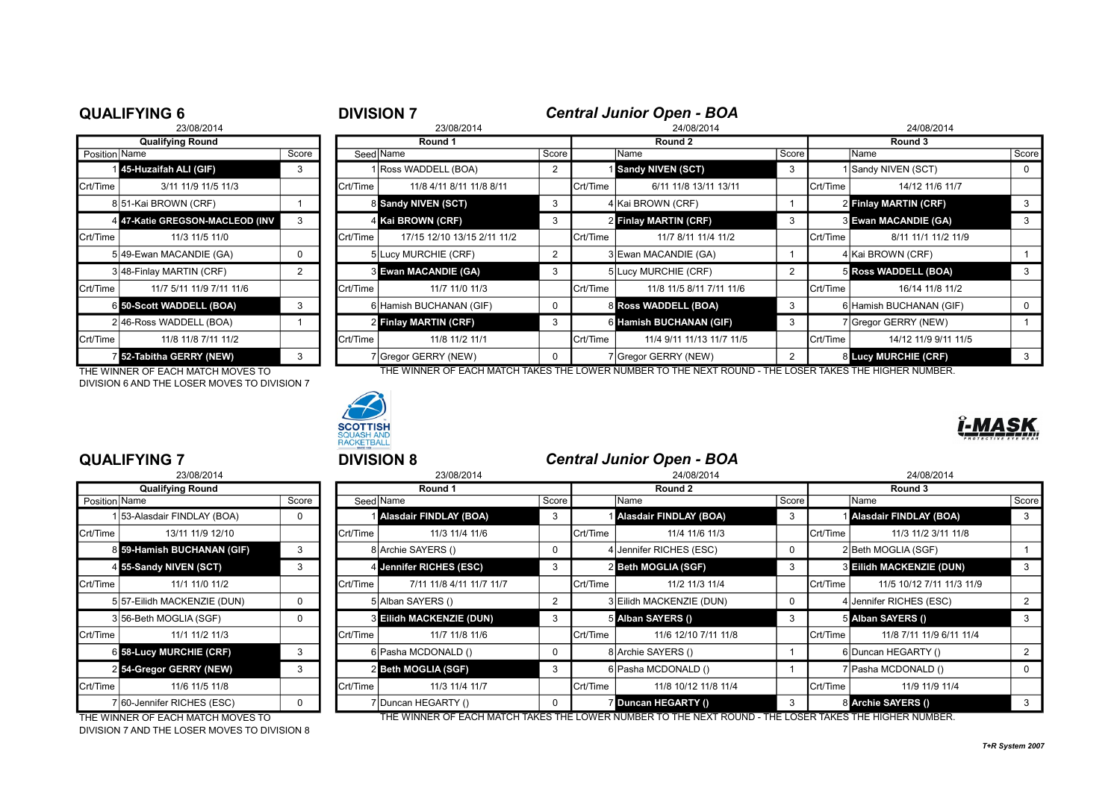|               | <b>QUALIFYING 6</b>             |       | <b>DIVISION 7</b> | <b>Central Junior Open - BOA</b> |       |          |                           |       |                   |                             |       |  |
|---------------|---------------------------------|-------|-------------------|----------------------------------|-------|----------|---------------------------|-------|-------------------|-----------------------------|-------|--|
|               | 23/08/2014                      |       |                   | 23/08/2014                       |       |          | 24/08/2014                |       | 24/08/2014        |                             |       |  |
|               | <b>Qualifying Round</b>         |       | Round 1           |                                  |       | Round 2  |                           |       | Round 3           |                             |       |  |
| Position Name |                                 | Score | Seed Name         |                                  | Score |          | Name                      | Score |                   | Name                        | Score |  |
|               | 45-Huzaifah ALI (GIF)           | 3     |                   | Ross WADDELL (BOA)               |       |          | Sandy NIVEN (SCT)         | 3     |                   | Sandy NIVEN (SCT)           |       |  |
| Crt/Time      | 3/11 11/9 11/5 11/3             |       | Crt/Time          | 11/8 4/11 8/11 11/8 8/11         |       | Crt/Time | 6/11 11/8 13/11 13/11     |       | Crt/Time          | 14/12 11/6 11/7             |       |  |
|               | 8 51-Kai BROWN (CRF)            |       |                   | 8 Sandy NIVEN (SCT)              | 3     |          | 4 Kai BROWN (CRF)         |       |                   | 2 Finlay MARTIN (CRF)       | 3     |  |
|               | 4 47-Katie GREGSON-MACLEOD (INV | 3     |                   | 4 Kai BROWN (CRF)                | 3     |          | 2 Finlay MARTIN (CRF)     | 3     |                   | <b>3 Ewan MACANDIE (GA)</b> | 3     |  |
| Crt/Time      | 11/3 11/5 11/0                  |       | Crt/Time          | 17/15 12/10 13/15 2/11 11/2      |       | Crt/Time | 11/7 8/11 11/4 11/2       |       | <b>I</b> Crt/Time | 8/11 11/1 11/2 11/9         |       |  |
|               | 5 49-Ewan MACANDIE (GA)         | 0     |                   | 5 Lucy MURCHIE (CRF)             |       |          | 3 Ewan MACANDIE (GA)      |       |                   | 4 Kai BROWN (CRF)           |       |  |
|               | 3 48-Finlay MARTIN (CRF)        | 2     |                   | 3 Ewan MACANDIE (GA)             |       |          | 5 Lucy MURCHIE (CRF)      | 2     |                   | 5 Ross WADDELL (BOA)        | 3     |  |
| Crt/Time      | 11/7 5/11 11/9 7/11 11/6        |       | Crt/Time          | 11/7 11/0 11/3                   |       | Crt/Time | 11/8 11/5 8/11 7/11 11/6  |       | Crt/Time          | 16/14 11/8 11/2             |       |  |
|               | 6 50-Scott WADDELL (BOA)        | 3     |                   | 6 Hamish BUCHANAN (GIF)          |       |          | 8 Ross WADDELL (BOA)      | 3     |                   | 6 Hamish BUCHANAN (GIF)     | 0     |  |
|               | 2 46-Ross WADDELL (BOA)         |       |                   | 2 Finlay MARTIN (CRF)            |       |          | 6 Hamish BUCHANAN (GIF)   | 3     |                   | (Gregor GERRY (NEW)         |       |  |
| Crt/Time      | 11/8 11/8 7/11 11/2             |       | Crt/Time          | 11/8 11/2 11/1                   |       | Crt/Time | 11/4 9/11 11/13 11/7 11/5 |       | Crt/Time          | 14/12 11/9 9/11 11/5        |       |  |
|               | 52-Tabitha GERRY (NEW)          | 3     |                   | 7 Gregor GERRY (NEW)             |       |          | 7 Gregor GERRY (NEW)      | 2     |                   | <b>8 Lucy MURCHIE (CRF)</b> | 3     |  |

THE WINNER OF EACH MATCH MOVES TO THE WINNER OF EACH MATCH TAKES THE LOWER NUMBER TO THE NEXT ROUND - THE LOSER TAKES THE HIGHER NUMBER. DIVISION 6 AND THE LOSER MOVES TO DIVISION 7



|                 | 23/08/2014                |       |
|-----------------|---------------------------|-------|
|                 | <b>Qualifying Round</b>   |       |
| Position   Name |                           | Score |
| 1               | 53-Alasdair FINDLAY (BOA) | 0     |
| Crt/Time        | 13/11 11/9 12/10          |       |
| 8               | 59-Hamish BUCHANAN (GIF)  | 3     |
|                 | 4 55-Sandy NIVEN (SCT)    | 3     |
| Crt/Time        | 11/1 11/0 11/2            |       |
| 5               | 57-Eilidh MACKENZIE (DUN) | 0     |
|                 | 3 56-Beth MOGLIA (SGF)    | ŋ     |
| Crt/Time        | 11/1 11/2 11/3            |       |
| 61              | 58-Lucy MURCHIE (CRF)     | 3     |
| $\overline{2}$  | 54-Gregor GERRY (NEW)     | 3     |
| Crt/Time        | 11/6 11/5 11/8            |       |
| 7               | 60-Jennifer RICHES (ESC)  | O     |

DIVISION 7 AND THE LOSER MOVES TO DIVISION 8

# **QUALIFYING 7** <sup>7</sup> **DIVISION 8** *Central Junior Open - BOA*

|               | 23/08/2014                     |       |          | 23/08/2014                    | 24/08/2014 |           |                                                                                                       |       | 24/08/2014      |                               |          |
|---------------|--------------------------------|-------|----------|-------------------------------|------------|-----------|-------------------------------------------------------------------------------------------------------|-------|-----------------|-------------------------------|----------|
|               | <b>Qualifying Round</b>        |       |          | Round 1                       |            |           | Round 2                                                                                               |       |                 | Round 3                       |          |
| Position Name |                                | Score |          | Seed Name                     | Score      |           | Name                                                                                                  | Score |                 | lName                         | Score    |
|               | 1 53-Alasdair FINDLAY (BOA)    | 0     |          | <b>Alasdair FINDLAY (BOA)</b> | 3          |           | <b>Alasdair FINDLAY (BOA)</b>                                                                         |       |                 | <b>Alasdair FINDLAY (BOA)</b> |          |
| Crt/Time      | 13/11 11/9 12/10               |       | Crt/Time | 11/3 11/4 11/6                |            | lCrt/Time | 11/4 11/6 11/3                                                                                        |       | Crt/Time        | 11/3 11/2 3/11 11/8           |          |
|               | 8 59-Hamish BUCHANAN (GIF)     |       |          | 8 Archie SAYERS ()            |            |           | 4 Jennifer RICHES (ESC)                                                                               |       |                 | 2 Beth MOGLIA (SGF)           |          |
|               | 4 55-Sandy NIVEN (SCT)         | 3     |          | 4 Jennifer RICHES (ESC)       | 3          |           | 2 Beth MOGLIA (SGF)                                                                                   | 3     |                 | 3 Eilidh MACKENZIE (DUN)      | 3        |
| Crt/Time      | 11/1 11/0 11/2                 |       | Crt/Time | 7/11 11/8 4/11 11/7 11/7      |            | Crt/Time  | 11/2 11/3 11/4                                                                                        |       | Crt/Time        | 11/5 10/12 7/11 11/3 11/9     |          |
|               | 5 57-Eilidh MACKENZIE (DUN)    | 0     |          | 5 Alban SAYERS ()             |            |           | 3 Eilidh MACKENZIE (DUN)                                                                              |       |                 | Jennifer RICHES (ESC)         |          |
|               | 356-Beth MOGLIA (SGF)          | 0     |          | 3 Eilidh MACKENZIE (DUN)      | 3          |           | 5 Alban SAYERS ()                                                                                     |       |                 | 5 Alban SAYERS ()             |          |
| Crt/Time      | 11/1 11/2 11/3                 |       | Crt/Time | 11/7 11/8 11/6                |            | Crt/Time  | 11/6 12/10 7/11 11/8                                                                                  |       | Crt/Time        | 11/8 7/11 11/9 6/11 11/4      |          |
|               | <b>6 58-Lucy MURCHIE (CRF)</b> | 3     |          | 6 Pasha MCDONALD ()           |            |           | 8 Archie SAYERS ()                                                                                    |       |                 | 6 Duncan HEGARTY ()           |          |
|               | 2 54-Gregor GERRY (NEW)        |       |          | 2 Beth MOGLIA (SGF)           | 3          |           | 6 Pasha MCDONALD ()                                                                                   |       |                 | 7   Pasha MCDONALD ()         | $\Omega$ |
| Crt/Time      | 11/6 11/5 11/8                 |       | Crt/Time | 11/3 11/4 11/7                |            | Crt/Time  | 11/8 10/12 11/8 11/4                                                                                  |       | <b>Crt/Time</b> | 11/9 11/9 11/4                |          |
|               | 7 60-Jennifer RICHES (ESC)     | 0     |          | 7 Duncan HEGARTY ()           |            |           | 7 Duncan HEGARTY ()                                                                                   |       |                 | 8 Archie SAYERS ()            |          |
|               |                                |       |          |                               |            |           | THE WINNER OF EACH MATCH TAKES THE LOWER NUMBER TO THE NEVT ROUND. THE LOOFR TAKES THE HIGHER NUMBER. |       |                 |                               |          |